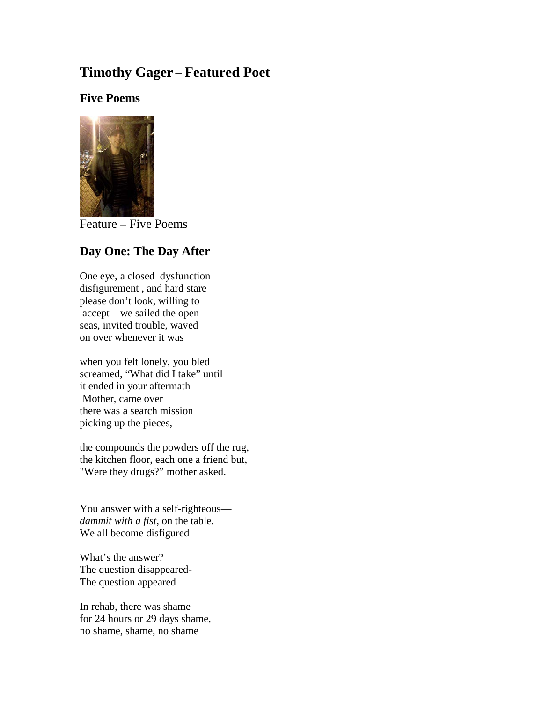# **Timothy Gager** – **Featured Poet**

## **Five Poems**



Feature – Five Poems

# **Day One: The Day After**

One eye, a closed dysfunction disfigurement , and hard stare please don't look, willing to accept—we sailed the open seas, invited trouble, waved on over whenever it was

when you felt lonely, you bled screamed, "What did I take" until it ended in your aftermath Mother, came over there was a search mission picking up the pieces,

the compounds the powders off the rug, the kitchen floor, each one a friend but, "Were they drugs?" mother asked.

You answer with a self-righteous *dammit with a fist,* on the table. We all become disfigured

What's the answer? The question disappeared-The question appeared

In rehab, there was shame for 24 hours or 29 days shame, no shame, shame, no shame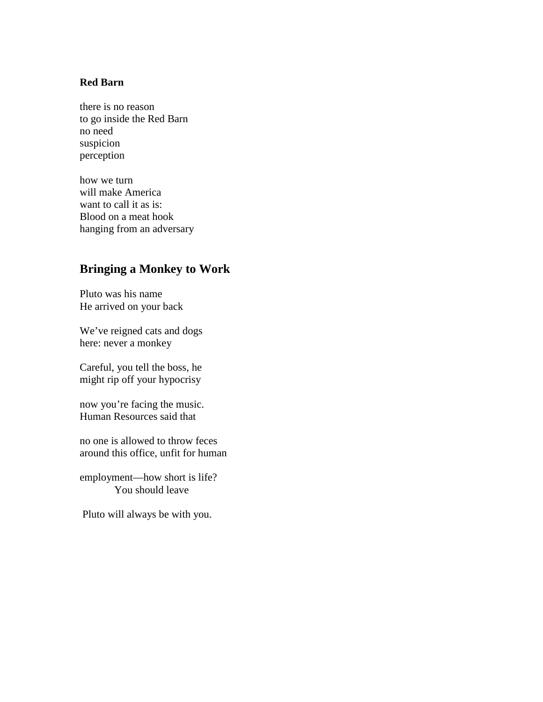#### **Red Barn**

there is no reason to go inside the Red Barn no need suspicion perception

how we turn will make America want to call it as is: Blood on a meat hook hanging from an adversary

# **Bringing a Monkey to Work**

Pluto was his name He arrived on your back

We've reigned cats and dogs here: never a monkey

Careful, you tell the boss, he might rip off your hypocrisy

now you're facing the music. Human Resources said that

no one is allowed to throw feces around this office, unfit for human

employment—how short is life? You should leave

Pluto will always be with you.